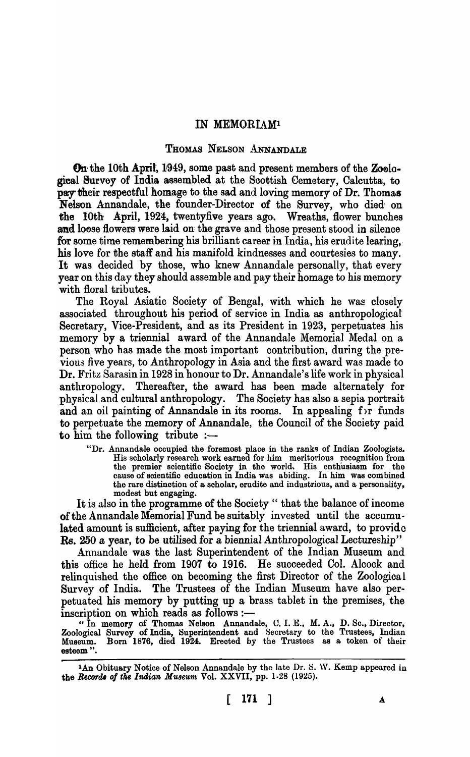## IN MEMORIAMl

## THOMAS NELSON ANNANDALE

On the 10th April, 1949, some past and present members of the Zoological Survey of India assembled at the Scottish Cemetery, Calcutta, to pay their respectful homage to the sad and loving memory of Dr. Thomas Nelson Annandale, the founder-Director of the Survey, who died on the 10th April, 1924, twentyfive years ago. Wreaths, flower bunches and loose flowers were laid on the grave and those present stood in silence for some time remembering his brilliant career in India, his erudite learing, his love for the staff and his manifold kindnesses and courtesies to many. It was decided by those, who knew Annandale personally, that every year on this day they should assemble and pay their homage to his memory with floral tributes.

The Royal Asiatic Society of Bengal, with which he was closely associated throughout his period of service in India as anthropological Secretary, Vice-President, and as its President in 1923, perpetuates his memory by a triennial award of the Annandale Memorial Medal on a person who has made the most important contribution, during the previous five years, to Anthropology in Asia and the first award was made to Dr. Fritz Sarasin in 1928 in honour to Dr. Annandale's life work in physical anthropology. Thereafter, the award has been made alternately for physical and cultural anthropology. The Society has also a sepia portrait and an oil painting of Annandale in its rooms. In appealing for funds to perpetuate the memory of Annandale, the Council of the Society paid to him the following tribute  $:$ 

"Dr. Annandale occupied the foremost place in the ranks of Indian Zoologists. His scholarly research work earned for him. meritorious recognition from the premier scientific Society in the world,. His enthusiasm for the cause of scientific education in India was abiding. In him was combined the rare distinction of a, scholar, erudite and industrious, and a personality, modest but engaging.

It is also in the programme of the Society" that the balance of income of the Annandale Memorial Fund be suitably invested until the accumulated amount is sufficient, after paying for the triennial award, to provide Rs. 250 a year, to be utilised for a biennial Anthropological Lectureship"

Annandale was the last Superintendent of the Indian Museum and this office he held from 1907 to 1916. He succeeded Col. Alcock and relinquished the office on becoming the first Director of the Zoological Survey of India. The Trustees of the Indian Museum have also perpetuated his memory by putting up a brass tablet in the premises, the inscription on which reads as follows :-

"In memory of Thomas Nelson Annandale, C. I. E., M. A., D. So., Director, Zoological Survey of India, Superintendent and Secretary to the Trustees, Indian Museum. Born 1876, died 1924. Erected by the Trustees as a token of their esteem ".

<sup>&</sup>lt;sup>1</sup>An Obituary Notice of Nelson Annandale by the late Dr. S. W. Kemp appeared in the *Records* of the Indian Museum Vol. XXVII, pp. 1-28 (1925).